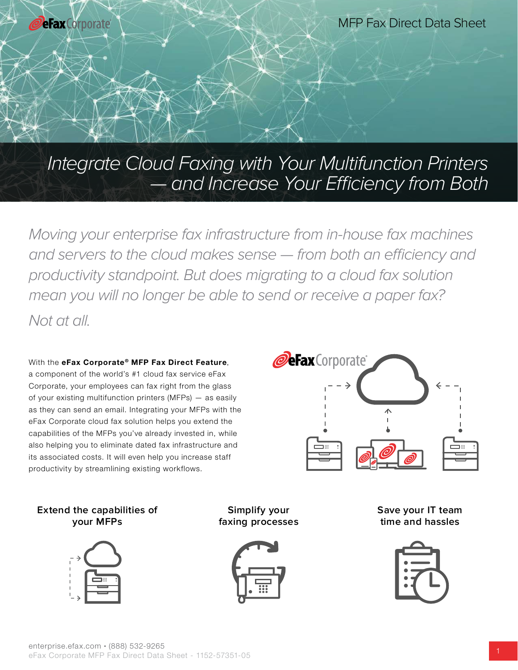

Integrate Cloud Faxing with Your Multifunction Printers — and Increase Your Efficiency from Both

Moving your enterprise fax infrastructure from in-house fax machines and servers to the cloud makes sense — from both an efficiency and productivity standpoint. But does migrating to a cloud fax solution mean you will no longer be able to send or receive a paper fax? Not at all.

### With the eFax Corporate® MFP Fax Direct Feature, a component of the world's #1 cloud fax service eFax Corporate, your employees can fax right from the glass of your existing multifunction printers (MFPs) — as easily

as they can send an email. Integrating your MFPs with the eFax Corporate cloud fax solution helps you extend the capabilities of the MFPs you've already invested in, while also helping you to eliminate dated fax infrastructure and its associated costs. It will even help you increase staff productivity by streamlining existing workflows.



## **Extend the capabilities of your MFPs**



**Simplify your faxing processes**



**Save your IT team time and hassles**

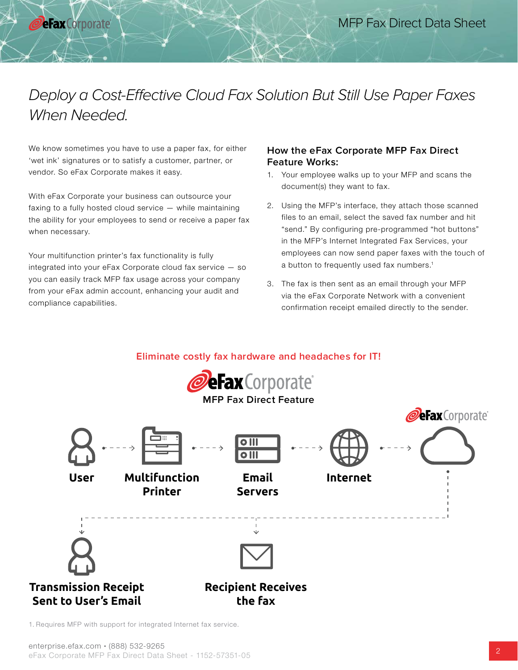# Deploy a Cost-Effective Cloud Fax Solution But Still Use Paper Faxes When Needed.

We know sometimes you have to use a paper fax, for either 'wet ink' signatures or to satisfy a customer, partner, or vendor. So eFax Corporate makes it easy.

**eFax** Corporate

With eFax Corporate your business can outsource your faxing to a fully hosted cloud service — while maintaining the ability for your employees to send or receive a paper fax when necessary.

Your multifunction printer's fax functionality is fully integrated into your eFax Corporate cloud fax service — so you can easily track MFP fax usage across your company from your eFax admin account, enhancing your audit and compliance capabilities.

### **How the eFax Corporate MFP Fax Direct Feature Works:**

- 1. Your employee walks up to your MFP and scans the document(s) they want to fax.
- 2. Using the MFP's interface, they attach those scanned files to an email, select the saved fax number and hit "send." By configuring pre-programmed "hot buttons" in the MFP's Internet Integrated Fax Services, your employees can now send paper faxes with the touch of a button to frequently used fax numbers.<sup>1</sup>
- 3. The fax is then sent as an email through your MFP via the eFax Corporate Network with a convenient confirmation receipt emailed directly to the sender.





1. Requires MFP with support for integrated Internet fax service.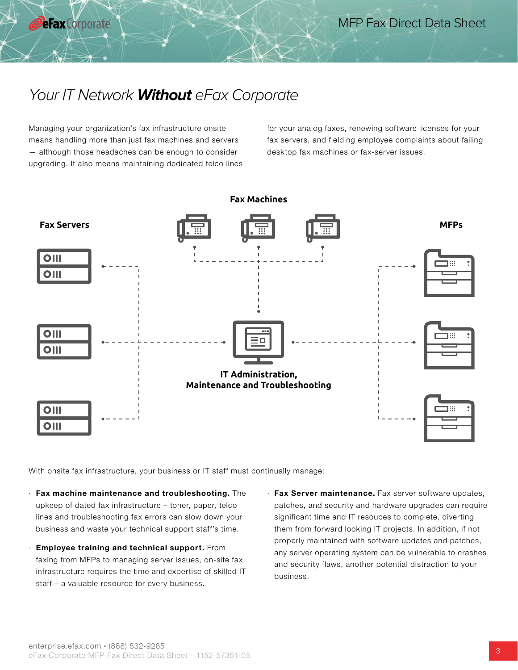Managing your organization's fax infrastructure onsite means handling more than just fax machines and servers — although those headaches can be enough to consider upgrading. It also means maintaining dedicated telco lines

**eFax** Corporate

for your analog faxes, renewing software licenses for your fax servers, and fielding employee complaints about failing desktop fax machines or fax-server issues.



With onsite fax infrastructure, your business or IT staff must continually manage:

- $\cdot$  Fax machine maintenance and troubleshooting. The upkeep of dated fax infrastructure – toner, paper, telco lines and troubleshooting fax errors can slow down your business and waste your technical support staff's time.
- · Employee training and technical support. From faxing from MFPs to managing server issues, on-site fax infrastructure requires the time and expertise of skilled IT staff – a valuable resource for every business.
- · Fax Server maintenance. Fax server software updates, patches, and security and hardware upgrades can require significant time and IT resouces to complete, diverting them from forward looking IT projects. In addition, if not properly maintained with software updates and patches, any server operating system can be vulnerable to crashes and security flaws, another potential distraction to your business.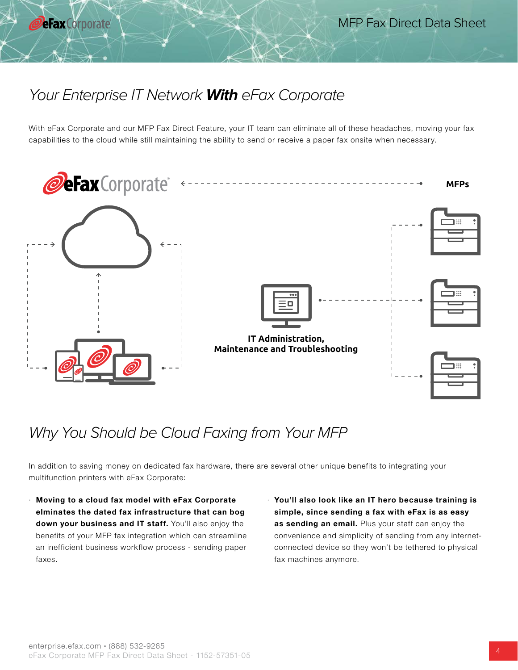## Your Enterprise IT Network **With** eFax Corporate

With eFax Corporate and our MFP Fax Direct Feature, your IT team can eliminate all of these headaches, moving your fax capabilities to the cloud while still maintaining the ability to send or receive a paper fax onsite when necessary.



## Why You Should be Cloud Faxing from Your MFP

In addition to saving money on dedicated fax hardware, there are several other unique benefits to integrating your multifunction printers with eFax Corporate:

- · Moving to a cloud fax model with eFax Corporate elminates the dated fax infrastructure that can bog down your business and IT staff. You'll also enjoy the benefits of your MFP fax integration which can streamline an inefficient business workflow process - sending paper faxes.
- · You'll also look like an IT hero because training is simple, since sending a fax with eFax is as easy as sending an email. Plus your staff can enjoy the convenience and simplicity of sending from any internetconnected device so they won't be tethered to physical fax machines anymore.